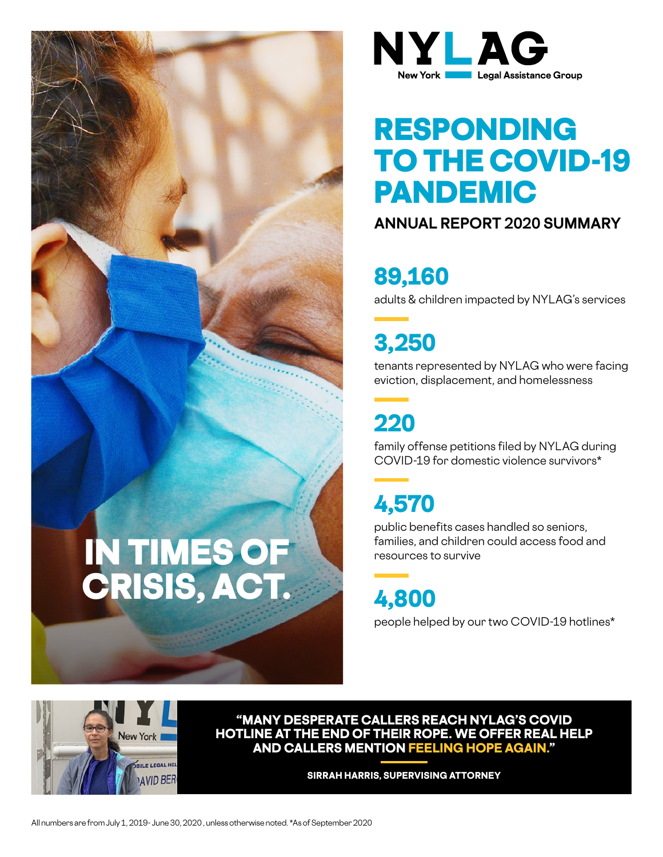



# RESPONDING **TO THE COVID-19** PANDEMIC

### **ANNUAL REPORT 2020 SUMMARY**

### 89,160

adults & children impacted by NYLAG's services

3,250

tenants represented by NYLAG who were facing eviction, displacement, and homelessness

## 220

family offense petitions filed by NYLAG during COVID-19 for domestic violence survivors\*

## 4,570

public benefits cases handled so seniors, families, and children could access food and resources to survive

4,800

people helped by our two COVID-19 hotlines\*



**"MANY DESPERATE CALLERS REACH NYLAG'S COVID HOTLINE AT THE END OF THEIR ROPE. WE OFFER REAL HELP AND CALLERS MENTION FEELING HOPE AGAIN."** 

**SIRRAH HARRIS, SUPERVISING ATTORNEY**